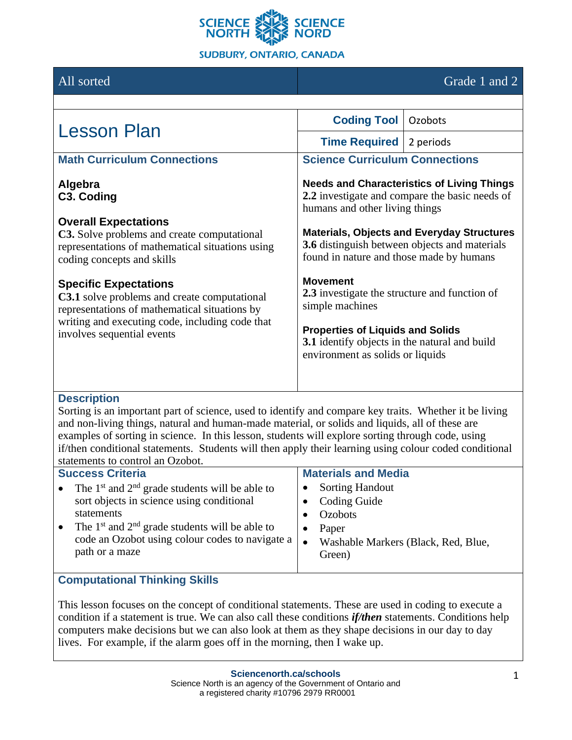

## All sorted Grade 1 and 2

| <b>Lesson Plan</b>                                                                                                                                                                                                                                                                                                                                                                                                                                                                 | <b>Coding Tool</b>                                                                                                                                                                                                                                                                                                                                                                                                                                                         | Ozobots |  |
|------------------------------------------------------------------------------------------------------------------------------------------------------------------------------------------------------------------------------------------------------------------------------------------------------------------------------------------------------------------------------------------------------------------------------------------------------------------------------------|----------------------------------------------------------------------------------------------------------------------------------------------------------------------------------------------------------------------------------------------------------------------------------------------------------------------------------------------------------------------------------------------------------------------------------------------------------------------------|---------|--|
|                                                                                                                                                                                                                                                                                                                                                                                                                                                                                    | <b>Time Required</b> 2 periods                                                                                                                                                                                                                                                                                                                                                                                                                                             |         |  |
| <b>Math Curriculum Connections</b>                                                                                                                                                                                                                                                                                                                                                                                                                                                 | <b>Science Curriculum Connections</b>                                                                                                                                                                                                                                                                                                                                                                                                                                      |         |  |
| Algebra<br>C3. Coding<br><b>Overall Expectations</b><br>C3. Solve problems and create computational<br>representations of mathematical situations using<br>coding concepts and skills<br><b>Specific Expectations</b><br>C3.1 solve problems and create computational<br>representations of mathematical situations by<br>writing and executing code, including code that<br>involves sequential events                                                                            | <b>Needs and Characteristics of Living Things</b><br>2.2 investigate and compare the basic needs of<br>humans and other living things<br><b>Materials, Objects and Everyday Structures</b><br>3.6 distinguish between objects and materials<br>found in nature and those made by humans<br><b>Movement</b><br>2.3 investigate the structure and function of<br>simple machines<br><b>Properties of Liquids and Solids</b><br>3.1 identify objects in the natural and build |         |  |
|                                                                                                                                                                                                                                                                                                                                                                                                                                                                                    | environment as solids or liquids                                                                                                                                                                                                                                                                                                                                                                                                                                           |         |  |
| <b>Description</b><br>Sorting is an important part of science, used to identify and compare key traits. Whether it be living<br>and non-living things, natural and human-made material, or solids and liquids, all of these are<br>examples of sorting in science. In this lesson, students will explore sorting through code, using<br>if/then conditional statements. Students will then apply their learning using colour coded conditional<br>statements to control an Ozobot. |                                                                                                                                                                                                                                                                                                                                                                                                                                                                            |         |  |
| <b>Success Criteria</b>                                                                                                                                                                                                                                                                                                                                                                                                                                                            | <b>Materials and Media</b>                                                                                                                                                                                                                                                                                                                                                                                                                                                 |         |  |
| The $1st$ and $2nd$ grade students will be able to                                                                                                                                                                                                                                                                                                                                                                                                                                 | <b>Sorting Handout</b>                                                                                                                                                                                                                                                                                                                                                                                                                                                     |         |  |
| sort objects in science using conditional                                                                                                                                                                                                                                                                                                                                                                                                                                          | <b>Coding Guide</b><br>$\bullet$                                                                                                                                                                                                                                                                                                                                                                                                                                           |         |  |

- Ozobots
	- Paper
	- Washable Markers (Black, Red, Blue, Green)

# **Computational Thinking Skills**

• The  $1<sup>st</sup>$  and  $2<sup>nd</sup>$  grade students will be able to

code an Ozobot using colour codes to navigate a

statements

path or a maze

This lesson focuses on the concept of conditional statements. These are used in coding to execute a condition if a statement is true. We can also call these conditions *if/then* statements. Conditions help computers make decisions but we can also look at them as they shape decisions in our day to day lives. For example, if the alarm goes off in the morning, then I wake up.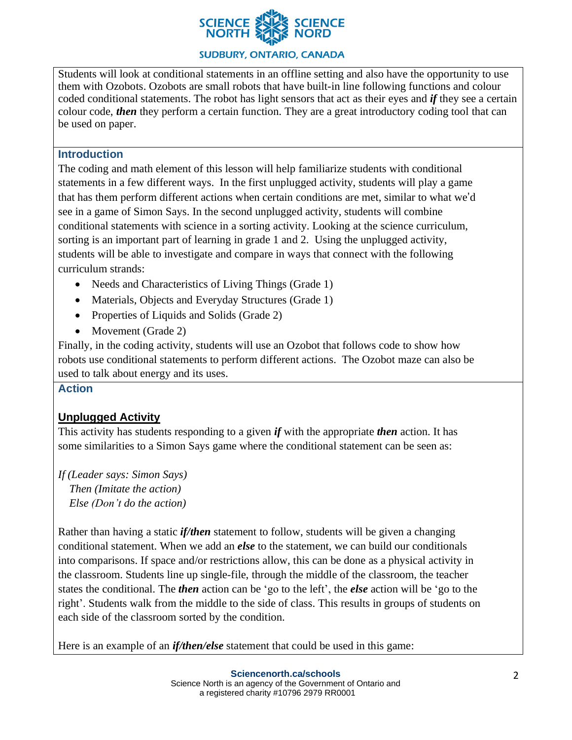

### **SUDBURY, ONTARIO, CANADA**

Students will look at conditional statements in an offline setting and also have the opportunity to use them with Ozobots. Ozobots are small robots that have built-in line following functions and colour coded conditional statements. The robot has light sensors that act as their eyes and *if* they see a certain colour code, *then* they perform a certain function. They are a great introductory coding tool that can be used on paper.

### **Introduction**

The coding and math element of this lesson will help familiarize students with conditional statements in a few different ways. In the first unplugged activity, students will play a game that has them perform different actions when certain conditions are met, similar to what we'd see in a game of Simon Says. In the second unplugged activity, students will combine conditional statements with science in a sorting activity. Looking at the science curriculum, sorting is an important part of learning in grade 1 and 2. Using the unplugged activity, students will be able to investigate and compare in ways that connect with the following curriculum strands:

- Needs and Characteristics of Living Things (Grade 1)
- Materials, Objects and Everyday Structures (Grade 1)
- Properties of Liquids and Solids (Grade 2)
- Movement (Grade 2)

Finally, in the coding activity, students will use an Ozobot that follows code to show how robots use conditional statements to perform different actions. The Ozobot maze can also be used to talk about energy and its uses.

#### **Action**

## **Unplugged Activity**

This activity has students responding to a given *if* with the appropriate *then* action. It has some similarities to a Simon Says game where the conditional statement can be seen as:

*If (Leader says: Simon Says) Then (Imitate the action) Else (Don't do the action)*

Rather than having a static *if/then* statement to follow, students will be given a changing conditional statement. When we add an *else* to the statement, we can build our conditionals into comparisons. If space and/or restrictions allow, this can be done as a physical activity in the classroom. Students line up single-file, through the middle of the classroom, the teacher states the conditional. The *then* action can be 'go to the left', the *else* action will be 'go to the right'. Students walk from the middle to the side of class. This results in groups of students on each side of the classroom sorted by the condition.

Here is an example of an *if/then/else* statement that could be used in this game: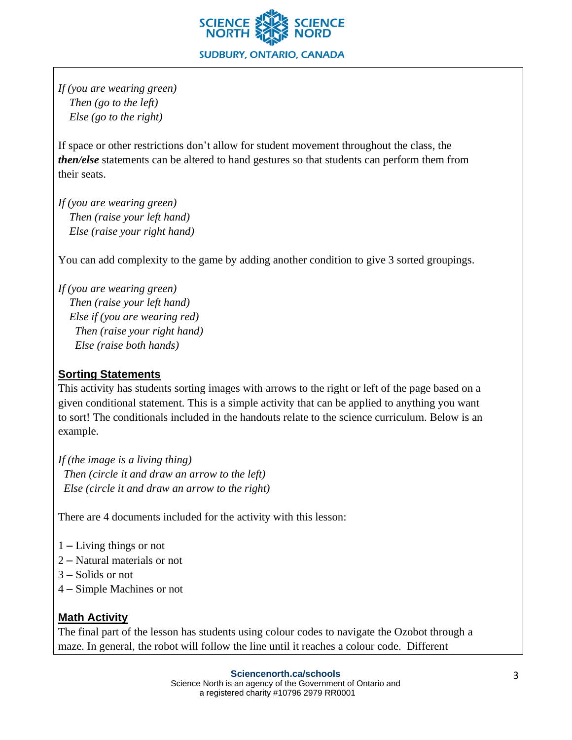

*If (you are wearing green) Then (go to the left) Else (go to the right)*

If space or other restrictions don't allow for student movement throughout the class, the *then/else* statements can be altered to hand gestures so that students can perform them from their seats.

*If (you are wearing green) Then (raise your left hand) Else (raise your right hand)*

You can add complexity to the game by adding another condition to give 3 sorted groupings.

*If (you are wearing green) Then (raise your left hand) Else if (you are wearing red) Then (raise your right hand) Else (raise both hands)*

## **Sorting Statements**

This activity has students sorting images with arrows to the right or left of the page based on a given conditional statement. This is a simple activity that can be applied to anything you want to sort! The conditionals included in the handouts relate to the science curriculum. Below is an example.

*If (the image is a living thing) Then (circle it and draw an arrow to the left) Else (circle it and draw an arrow to the right)*

There are 4 documents included for the activity with this lesson:

- 1 Living things or not
- 2 Natural materials or not
- 3 Solids or not
- 4 Simple Machines or not

## **Math Activity**

The final part of the lesson has students using colour codes to navigate the Ozobot through a maze. In general, the robot will follow the line until it reaches a colour code. Different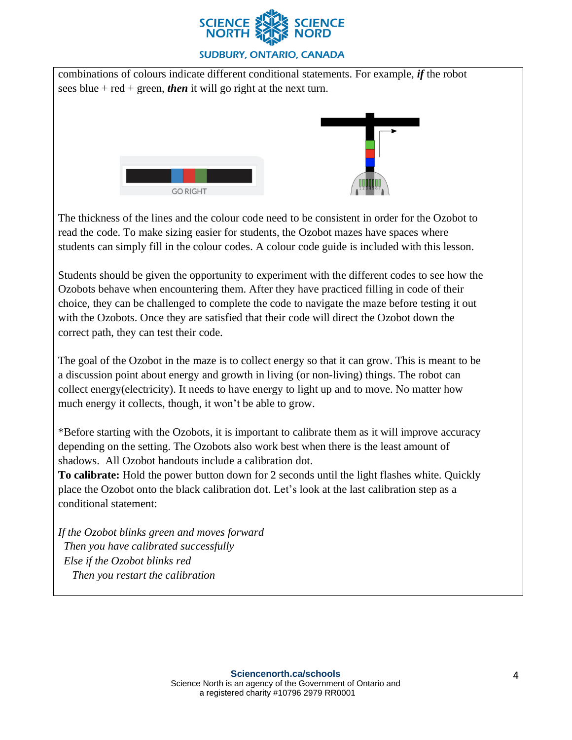

#### **SUDBURY, ONTARIO, CANADA**

combinations of colours indicate different conditional statements. For example, *if* the robot sees blue + red + green, *then* it will go right at the next turn. **GO RIGHT** 

The thickness of the lines and the colour code need to be consistent in order for the Ozobot to read the code. To make sizing easier for students, the Ozobot mazes have spaces where students can simply fill in the colour codes. A colour code guide is included with this lesson.

Students should be given the opportunity to experiment with the different codes to see how the Ozobots behave when encountering them. After they have practiced filling in code of their choice, they can be challenged to complete the code to navigate the maze before testing it out with the Ozobots. Once they are satisfied that their code will direct the Ozobot down the correct path, they can test their code.

The goal of the Ozobot in the maze is to collect energy so that it can grow. This is meant to be a discussion point about energy and growth in living (or non-living) things. The robot can collect energy(electricity). It needs to have energy to light up and to move. No matter how much energy it collects, though, it won't be able to grow.

\*Before starting with the Ozobots, it is important to calibrate them as it will improve accuracy depending on the setting. The Ozobots also work best when there is the least amount of shadows. All Ozobot handouts include a calibration dot.

**To calibrate:** Hold the power button down for 2 seconds until the light flashes white. Quickly place the Ozobot onto the black calibration dot. Let's look at the last calibration step as a conditional statement:

*If the Ozobot blinks green and moves forward Then you have calibrated successfully Else if the Ozobot blinks red Then you restart the calibration*